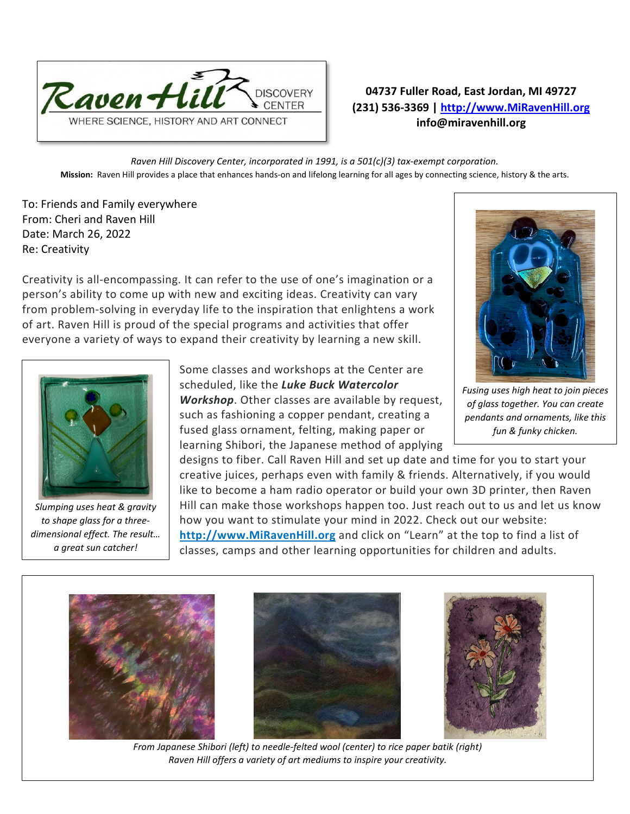

## **04737 Fuller Road, East Jordan, MI 49727 (231) 536-3369 | [http://www.MiRavenHill.org](http://www.miravenhill.org/) info@miravenhill.org**

*Raven Hill Discovery Center, incorporated in 1991, is a 501(c)(3) tax-exempt corporation.* **Mission:** Raven Hill provides a place that enhances hands-on and lifelong learning for all ages by connecting science, history & the arts.

To: Friends and Family everywhere From: Cheri and Raven Hill Date: March 26, 2022 Re: Creativity

Creativity is all-encompassing. It can refer to the use of one's imagination or a person's ability to come up with new and exciting ideas. Creativity can vary from problem-solving in everyday life to the inspiration that enlightens a work of art. Raven Hill is proud of the special programs and activities that offer everyone a variety of ways to expand their creativity by learning a new skill.



*Slumping uses heat & gravity to shape glass for a threedimensional effect. The result… a great sun catcher!*

Some classes and workshops at the Center are scheduled, like the *Luke Buck Watercolor Workshop*. Other classes are available by request, such as fashioning a copper pendant, creating a fused glass ornament, felting, making paper or learning Shibori, the Japanese method of applying



*Fusing uses high heat to join pieces of glass together. You can create pendants and ornaments, like this fun & funky chicken.*

designs to fiber. Call Raven Hill and set up date and time for you to start your creative juices, perhaps even with family & friends. Alternatively, if you would like to become a ham radio operator or build your own 3D printer, then Raven Hill can make those workshops happen too. Just reach out to us and let us know how you want to stimulate your mind in 2022. Check out our website: **http:/[/www.MiRavenHill.org](http://www.miravenhill.org/)** and click on "Learn" at the top to find a list of classes, camps and other learning opportunities for children and adults.







*From Japanese Shibori (left) to needle-felted wool (center) to rice paper batik (right) Raven Hill offers a variety of art mediums to inspire your creativity.*